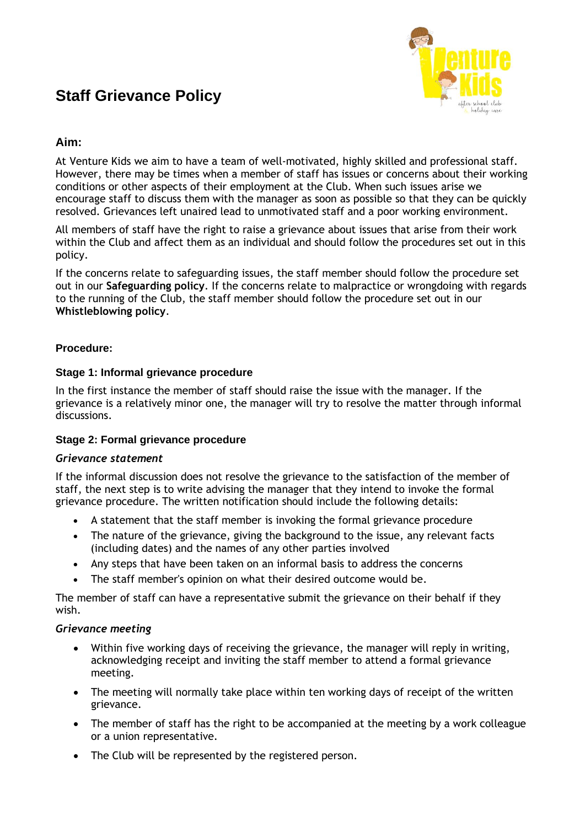# **Staff Grievance Policy**



## **Aim:**

At Venture Kids we aim to have a team of well-motivated, highly skilled and professional staff. However, there may be times when a member of staff has issues or concerns about their working conditions or other aspects of their employment at the Club. When such issues arise we encourage staff to discuss them with the manager as soon as possible so that they can be quickly resolved. Grievances left unaired lead to unmotivated staff and a poor working environment.

All members of staff have the right to raise a grievance about issues that arise from their work within the Club and affect them as an individual and should follow the procedures set out in this policy.

If the concerns relate to safeguarding issues, the staff member should follow the procedure set out in our **Safeguarding policy**. If the concerns relate to malpractice or wrongdoing with regards to the running of the Club, the staff member should follow the procedure set out in our **Whistleblowing policy**.

## **Procedure:**

## **Stage 1: Informal grievance procedure**

In the first instance the member of staff should raise the issue with the manager. If the grievance is a relatively minor one, the manager will try to resolve the matter through informal discussions.

## **Stage 2: Formal grievance procedure**

## *Grievance statement*

If the informal discussion does not resolve the grievance to the satisfaction of the member of staff, the next step is to write advising the manager that they intend to invoke the formal grievance procedure. The written notification should include the following details:

- A statement that the staff member is invoking the formal grievance procedure
- The nature of the grievance, giving the background to the issue, any relevant facts (including dates) and the names of any other parties involved
- Any steps that have been taken on an informal basis to address the concerns
- The staff member's opinion on what their desired outcome would be.

The member of staff can have a representative submit the grievance on their behalf if they wish.

## *Grievance meeting*

- Within five working days of receiving the grievance, the manager will reply in writing, acknowledging receipt and inviting the staff member to attend a formal grievance meeting.
- The meeting will normally take place within ten working days of receipt of the written grievance.
- The member of staff has the right to be accompanied at the meeting by a work colleague or a union representative.
- The Club will be represented by the registered person.